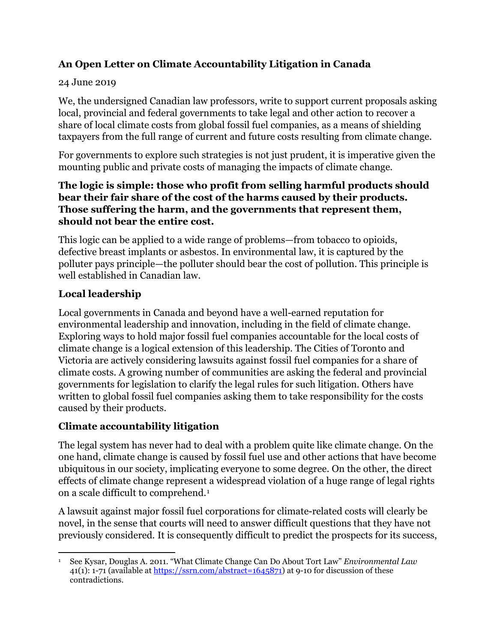# **An Open Letter on Climate Accountability Litigation in Canada**

### 24 June 2019

We, the undersigned Canadian law professors, write to support current proposals asking local, provincial and federal governments to take legal and other action to recover a share of local climate costs from global fossil fuel companies, as a means of shielding taxpayers from the full range of current and future costs resulting from climate change.

For governments to explore such strategies is not just prudent, it is imperative given the mounting public and private costs of managing the impacts of climate change.

### **The logic is simple: those who profit from selling harmful products should bear their fair share of the cost of the harms caused by their products. Those suffering the harm, and the governments that represent them, should not bear the entire cost.**

This logic can be applied to a wide range of problems—from tobacco to opioids, defective breast implants or asbestos. In environmental law, it is captured by the polluter pays principle—the polluter should bear the cost of pollution. This principle is well established in Canadian law.

## **Local leadership**

Local governments in Canada and beyond have a well-earned reputation for environmental leadership and innovation, including in the field of climate change. Exploring ways to hold major fossil fuel companies accountable for the local costs of climate change is a logical extension of this leadership. The Cities of Toronto and Victoria are actively considering lawsuits against fossil fuel companies for a share of climate costs. A growing number of communities are asking the federal and provincial governments for legislation to clarify the legal rules for such litigation. Others have written to global fossil fuel companies asking them to take responsibility for the costs caused by their products.

## **Climate accountability litigation**

The legal system has never had to deal with a problem quite like climate change. On the one hand, climate change is caused by fossil fuel use and other actions that have become ubiquitous in our society, implicating everyone to some degree. On the other, the direct effects of climate change represent a widespread violation of a huge range of legal rights on a scale difficult to comprehend.[1](#page-0-0)

A lawsuit against major fossil fuel corporations for climate-related costs will clearly be novel, in the sense that courts will need to answer difficult questions that they have not previously considered. It is consequently difficult to predict the prospects for its success,

<span id="page-0-0"></span> $\overline{a}$ <sup>1</sup> See Kysar, Douglas A. 2011. "What Climate Change Can Do About Tort Law" *Environmental Law* 41(1): 1-71 (available at [https://ssrn.com/abstract=1645871\)](https://ssrn.com/abstract=1645871) at 9-10 for discussion of these contradictions.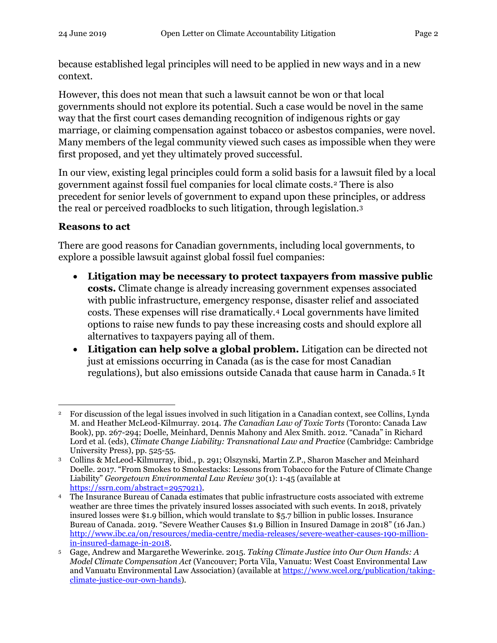because established legal principles will need to be applied in new ways and in a new context.

However, this does not mean that such a lawsuit cannot be won or that local governments should not explore its potential. Such a case would be novel in the same way that the first court cases demanding recognition of indigenous rights or gay marriage, or claiming compensation against tobacco or asbestos companies, were novel. Many members of the legal community viewed such cases as impossible when they were first proposed, and yet they ultimately proved successful.

In our view, existing legal principles could form a solid basis for a lawsuit filed by a local government against fossil fuel companies for local climate costs.[2](#page-1-0) There is also precedent for senior levels of government to expand upon these principles, or address the real or perceived roadblocks to such litigation, through legislation.[3](#page-1-1)

#### **Reasons to act**

There are good reasons for Canadian governments, including local governments, to explore a possible lawsuit against global fossil fuel companies:

- **Litigation may be necessary to protect taxpayers from massive public costs.** Climate change is already increasing government expenses associated with public infrastructure, emergency response, disaster relief and associated costs. These expenses will rise dramatically.[4](#page-1-2) Local governments have limited options to raise new funds to pay these increasing costs and should explore all alternatives to taxpayers paying all of them.
- **Litigation can help solve a global problem.** Litigation can be directed not just at emissions occurring in Canada (as is the case for most Canadian regulations), but also emissions outside Canada that cause harm in Canada.[5](#page-1-3) It

<span id="page-1-0"></span>l <sup>2</sup> For discussion of the legal issues involved in such litigation in a Canadian context, see Collins, Lynda M. and Heather McLeod-Kilmurray. 2014. *The Canadian Law of Toxic Torts* (Toronto: Canada Law Book), pp. 267-294; Doelle, Meinhard, Dennis Mahony and Alex Smith. 2012. "Canada" in Richard Lord et al. (eds), *Climate Change Liability: Transnational Law and Practice* (Cambridge: Cambridge University Press), pp. 525-55.

<span id="page-1-1"></span><sup>3</sup> Collins & McLeod-Kilmurray, ibid., p. 291; Olszynski, Martin Z.P., Sharon Mascher and Meinhard Doelle. 2017. "From Smokes to Smokestacks: Lessons from Tobacco for the Future of Climate Change Liability" *Georgetown Environmental Law Review* 30(1): 1-45 (available at

<span id="page-1-2"></span><sup>&</sup>lt;sup>4</sup> The Insurance Bureau of Canada estimates that public infrastructure costs associated with extreme weather are three times the privately insured losses associated with such events. In 2018, privately insured losses were \$1.9 billion, which would translate to \$5.7 billion in public losses. Insurance Bureau of Canada. 2019. "Severe Weather Causes \$1.9 Billion in Insured Damage in 2018" (16 Jan.) [http://www.ibc.ca/on/resources/media-centre/media-releases/severe-weather-causes-190-million-](http://www.ibc.ca/on/resources/media-centre/media-releases/severe-weather-causes-190-million-in-insured-damage-in-2018)

<span id="page-1-3"></span><sup>&</sup>lt;sup>5</sup> Gage, Andrew and Margarethe Wewerinke. 2015. *Taking Climate Justice into Our Own Hands: A Model Climate Compensation Act* (Vancouver; Porta Vila, Vanuatu: West Coast Environmental Law and Vanuatu Environmental Law Association) (available at [https://www.wcel.org/publication/taking](https://www.wcel.org/publication/taking-climate-justice-our-own-hands)[climate-justice-our-own-hands\)](https://www.wcel.org/publication/taking-climate-justice-our-own-hands).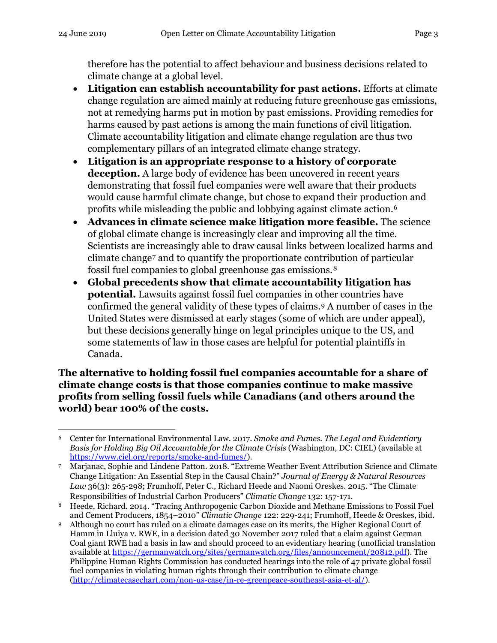therefore has the potential to affect behaviour and business decisions related to climate change at a global level.

- **Litigation can establish accountability for past actions.** Efforts at climate change regulation are aimed mainly at reducing future greenhouse gas emissions, not at remedying harms put in motion by past emissions. Providing remedies for harms caused by past actions is among the main functions of civil litigation. Climate accountability litigation and climate change regulation are thus two complementary pillars of an integrated climate change strategy.
- **Litigation is an appropriate response to a history of corporate deception.** A large body of evidence has been uncovered in recent years demonstrating that fossil fuel companies were well aware that their products would cause harmful climate change, but chose to expand their production and profits while misleading the public and lobbying against climate action.[6](#page-2-0)
- **Advances in climate science make litigation more feasible.** The science of global climate change is increasingly clear and improving all the time. Scientists are increasingly able to draw causal links between localized harms and climate change[7](#page-2-1) and to quantify the proportionate contribution of particular fossil fuel companies to global greenhouse gas emissions.[8](#page-2-2)
- **Global precedents show that climate accountability litigation has potential.** Lawsuits against fossil fuel companies in other countries have confirmed the general validity of these types of claims.[9](#page-2-3) A number of cases in the United States were dismissed at early stages (some of which are under appeal), but these decisions generally hinge on legal principles unique to the US, and some statements of law in those cases are helpful for potential plaintiffs in Canada.

**The alternative to holding fossil fuel companies accountable for a share of climate change costs is that those companies continue to make massive profits from selling fossil fuels while Canadians (and others around the world) bear 100% of the costs.**

<span id="page-2-0"></span> $\overline{\phantom{a}}$ <sup>6</sup> Center for International Environmental Law. 2017. *Smoke and Fumes. The Legal and Evidentiary Basis for Holding Big Oil Accountable for the Climate Crisis* (Washington, DC: CIEL) (available at [https://www.ciel.org/reports/smoke-and-fumes/\)](https://www.ciel.org/reports/smoke-and-fumes/).

<span id="page-2-1"></span><sup>7</sup> Marjanac, Sophie and Lindene Patton. 2018. "Extreme Weather Event Attribution Science and Climate Change Litigation: An Essential Step in the Causal Chain?" *Journal of Energy & Natural Resources Law* 36(3): 265-298; Frumhoff, Peter C., Richard Heede and Naomi Oreskes. 2015. "The Climate Responsibilities of Industrial Carbon Producers" *Climatic Change* 132: 157-171.

<span id="page-2-2"></span><sup>8</sup> Heede, Richard. 2014. "Tracing Anthropogenic Carbon Dioxide and Methane Emissions to Fossil Fuel and Cement Producers, 1854–2010" *Climatic Change* 122: 229-241; Frumhoff, Heede & Oreskes, ibid.

<span id="page-2-3"></span><sup>9</sup> Although no court has ruled on a climate damages case on its merits, the Higher Regional Court of Hamm in Lluiya v. RWE, in a decision dated 30 November 2017 ruled that a claim against German Coal giant RWE had a basis in law and should proceed to an evidentiary hearing (unofficial translation available a[t https://germanwatch.org/sites/germanwatch.org/files/announcement/20812.pdf\)](https://germanwatch.org/sites/germanwatch.org/files/announcement/20812.pdf). The Philippine Human Rights Commission has conducted hearings into the role of 47 private global fossil fuel companies in violating human rights through their contribution to climate change [\(http://climatecasechart.com/non-us-case/in-re-greenpeace-southeast-asia-et-al/\)](http://climatecasechart.com/non-us-case/in-re-greenpeace-southeast-asia-et-al/).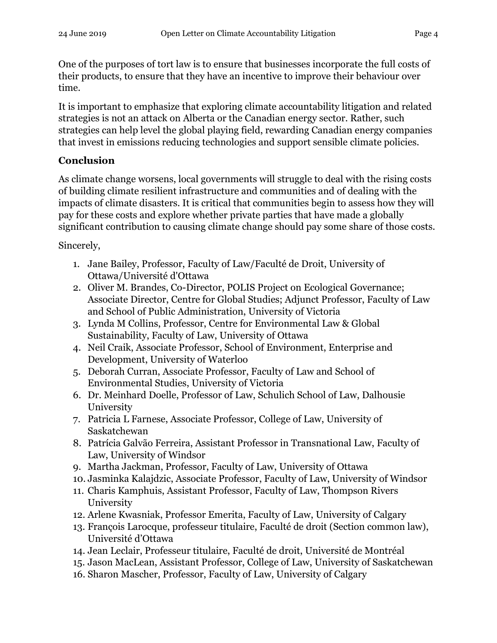One of the purposes of tort law is to ensure that businesses incorporate the full costs of their products, to ensure that they have an incentive to improve their behaviour over time.

It is important to emphasize that exploring climate accountability litigation and related strategies is not an attack on Alberta or the Canadian energy sector. Rather, such strategies can help level the global playing field, rewarding Canadian energy companies that invest in emissions reducing technologies and support sensible climate policies.

## **Conclusion**

As climate change worsens, local governments will struggle to deal with the rising costs of building climate resilient infrastructure and communities and of dealing with the impacts of climate disasters. It is critical that communities begin to assess how they will pay for these costs and explore whether private parties that have made a globally significant contribution to causing climate change should pay some share of those costs.

Sincerely,

- 1. Jane Bailey, Professor, Faculty of Law/Faculté de Droit, University of Ottawa/Université d'Ottawa
- 2. Oliver M. Brandes, Co-Director, POLIS Project on Ecological Governance; Associate Director, Centre for Global Studies; Adjunct Professor, Faculty of Law and School of Public Administration, University of Victoria
- 3. Lynda M Collins, Professor, Centre for Environmental Law & Global Sustainability, Faculty of Law, University of Ottawa
- 4. Neil Craik, Associate Professor, School of Environment, Enterprise and Development, University of Waterloo
- 5. Deborah Curran, Associate Professor, Faculty of Law and School of Environmental Studies, University of Victoria
- 6. Dr. Meinhard Doelle, Professor of Law, Schulich School of Law, Dalhousie University
- 7. Patricia L Farnese, Associate Professor, College of Law, University of Saskatchewan
- 8. Patrícia Galvão Ferreira, Assistant Professor in Transnational Law, Faculty of Law, University of Windsor
- 9. Martha Jackman, Professor, Faculty of Law, University of Ottawa
- 10. Jasminka Kalajdzic, Associate Professor, Faculty of Law, University of Windsor
- 11. Charis Kamphuis, Assistant Professor, Faculty of Law, Thompson Rivers University
- 12. Arlene Kwasniak, Professor Emerita, Faculty of Law, University of Calgary
- 13. François Larocque, professeur titulaire, Faculté de droit (Section common law), Université d'Ottawa
- 14. Jean Leclair, Professeur titulaire, Faculté de droit, Université de Montréal
- 15. Jason MacLean, Assistant Professor, College of Law, University of Saskatchewan
- 16. Sharon Mascher, Professor, Faculty of Law, University of Calgary